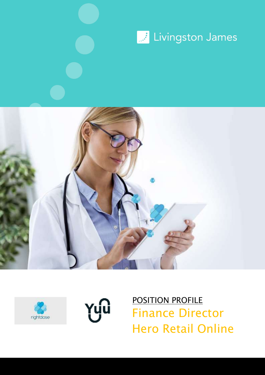







Finance Director Hero Retail Online **POSITION PROFILE**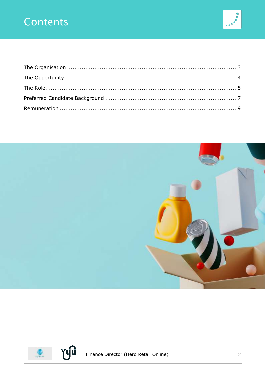## Contents





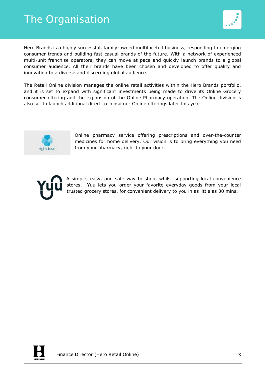### <span id="page-2-0"></span>The Organisation



Hero Brands is a highly successful, family-owned multifaceted business, responding to emerging consumer trends and building fast-casual brands of the future. With a network of experienced multi-unit franchise operators, they can move at pace and quickly launch brands to a global consumer audience. All their brands have been chosen and developed to offer quality and innovation to a diverse and discerning global audience.

The Retail Online division manages the online retail activities within the Hero Brands portfolio, and it is set to expand with significant investments being made to drive its Online Grocery consumer offering and the expansion of the Online Pharmacy operation. The Online division is also set to launch additional direct to consumer Online offerings later this year.



Online pharmacy service offering prescriptions and over-the-counter medicines for home delivery. Our vision is to bring everything you need from your pharmacy, right to your door.



A simple, easy, and safe way to shop, whilst supporting local convenience stores. Yuu lets you order your favorite everyday goods from your local trusted grocery stores, for convenient delivery to you in as little as 30 mins.

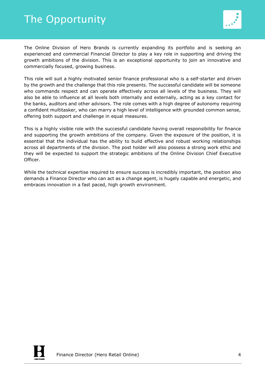## <span id="page-3-0"></span>The Opportunity



The Online Division of Hero Brands is currently expanding its portfolio and is seeking an experienced and commercial Financial Director to play a key role in supporting and driving the growth ambitions of the division. This is an exceptional opportunity to join an innovative and commercially focused, growing business.

This role will suit a highly motivated senior finance professional who is a self-starter and driven by the growth and the challenge that this role presents. The successful candidate will be someone who commands respect and can operate effectively across all levels of the business. They will also be able to influence at all levels both internally and externally, acting as a key contact for the banks, auditors and other advisors. The role comes with a high degree of autonomy requiring a confident multitasker, who can marry a high level of intelligence with grounded common sense, offering both support and challenge in equal measures.

This is a highly visible role with the successful candidate having overall responsibility for finance and supporting the growth ambitions of the company. Given the exposure of the position, it is essential that the individual has the ability to build effective and robust working relationships across all departments of the division. The post holder will also possess a strong work ethic and they will be expected to support the strategic ambitions of the Online Division Chief Executive Officer.

While the technical expertise required to ensure success is incredibly important, the position also demands a Finance Director who can act as a change agent, is hugely capable and energetic, and embraces innovation in a fast paced, high growth environment.

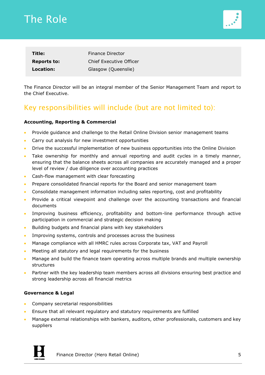## <span id="page-4-0"></span>The Role



| Title:             | Finance Director        |
|--------------------|-------------------------|
| <b>Reports to:</b> | Chief Executive Officer |
| Location:          | Glasgow (Queenslie)     |

The Finance Director will be an integral member of the Senior Management Team and report to the Chief Executive.

### Key responsibilities will include (but are not limited to):

#### **Accounting, Reporting & Commercial**

- Provide guidance and challenge to the Retail Online Division senior management teams
- Carry out analysis for new investment opportunities
- Drive the successful implementation of new business opportunities into the Online Division
- Take ownership for monthly and annual reporting and audit cycles in a timely manner, ensuring that the balance sheets across all companies are accurately managed and a proper level of review / due diligence over accounting practices
- Cash-flow management with clear forecasting
- Prepare consolidated financial reports for the Board and senior management team
- Consolidate management information including sales reporting, cost and profitability
- Provide a critical viewpoint and challenge over the accounting transactions and financial documents
- Improving business efficiency, profitability and bottom-line performance through active participation in commercial and strategic decision making
- Building budgets and financial plans with key stakeholders
- Improving systems, controls and processes across the business
- Manage compliance with all HMRC rules across Corporate tax, VAT and Payroll
- Meeting all statutory and legal requirements for the business
- Manage and build the finance team operating across multiple brands and multiple ownership structures
- Partner with the key leadership team members across all divisions ensuring best practice and strong leadership across all financial metrics

#### **Governance & Legal**

- Company secretarial responsibilities
- Ensure that all relevant regulatory and statutory requirements are fulfilled
- Manage external relationships with bankers, auditors, other professionals, customers and key suppliers



Finance Director (Hero Retail Online) 5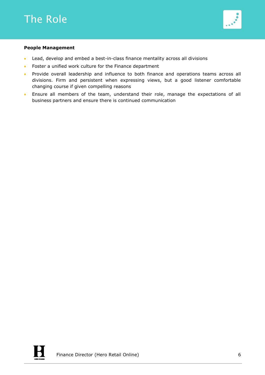

#### **People Management**

- Lead, develop and embed a best-in-class finance mentality across all divisions
- Foster a unified work culture for the Finance department
- Provide overall leadership and influence to both finance and operations teams across all divisions. Firm and persistent when expressing views, but a good listener comfortable changing course if given compelling reasons
- Ensure all members of the team, understand their role, manage the expectations of all business partners and ensure there is continued communication

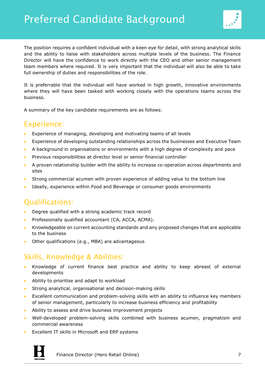

<span id="page-6-0"></span>The position requires a confident individual with a keen eye for detail, with strong analytical skills and the ability to liaise with stakeholders across multiple levels of the business. The Finance Director will have the confidence to work directly with the CEO and other senior management team members where required. It is very important that the individual will also be able to take full ownership of duties and responsibilities of the role.

It is preferrable that the individual will have worked in high growth, innovative environments where they will have been tasked with working closely with the operations teams across the business.

A summary of the key candidate requirements are as follows:

#### Experience:

- Experience of managing, developing and motivating teams of all levels
- Experience of developing outstanding relationships across the businesses and Executive Team
- A background in organisations or environments with a high degree of complexity and pace
- Previous responsibilities at director level or senior financial controller
- A proven relationship builder with the ability to increase co-operation across departments and sites
- Strong commercial acumen with proven experience of adding value to the bottom line
- Ideally, experience within Food and Beverage or consumer goods environments

### Qualifications:

- Degree qualified with a strong academic track record
- Professionally qualified accountant (CA, ACCA, ACMA).
- Knowledgeable on current accounting standards and any proposed changes that are applicable to the business
- Other qualifications (e.g., MBA) are advantageous

#### Skills, Knowledge & Abilities:

- Knowledge of current finance best practice and ability to keep abreast of external developments
- Ability to prioritise and adapt to workload
- Strong analytical, organisational and decision-making skills
- Excellent communication and problem-solving skills with an ability to influence key members of senior management, particularly to increase business efficiency and profitability
- Ability to assess and drive business improvement projects
- Well-developed problem-solving skills combined with business acumen, pragmatism and commercial awareness
- Excellent IT skills in Microsoft and ERP systems



Finance Director (Hero Retail Online) 7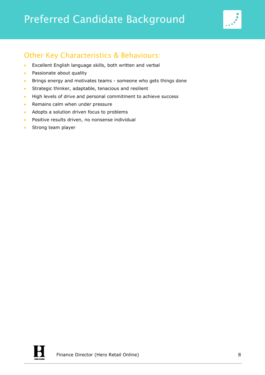# Preferred Candidate Background



### Other Key Characteristics & Behaviours:

- Excellent English language skills, both written and verbal
- Passionate about quality
- Brings energy and motivates teams someone who gets things done
- Strategic thinker, adaptable, tenacious and resilient
- High levels of drive and personal commitment to achieve success
- Remains calm when under pressure
- Adopts a solution driven focus to problems
- Positive results driven, no nonsense individual
- Strong team player